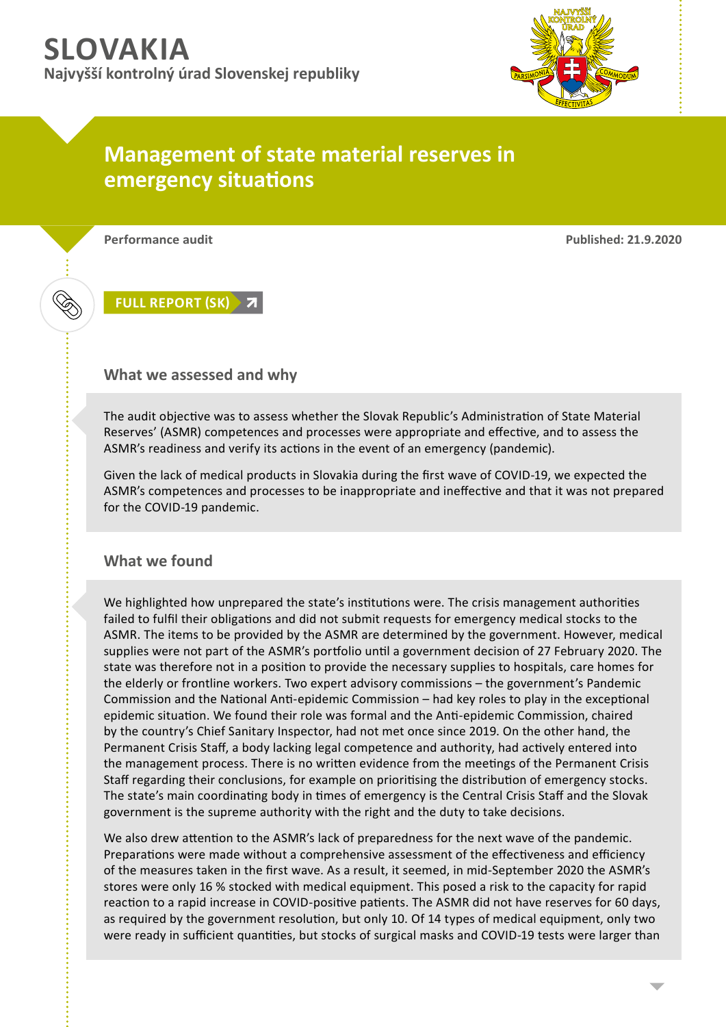

## **Management of state material reserves in emergency situations**

**Performance audit Published: 21.9.2020**

**FULL [REPORT](https://www.nku.gov.sk/documents/10157/265201/96715-0-110.pdf) (SK)**

## **What we assessed and why**

The audit objective was to assess whether the Slovak Republic's Administration of State Material Reserves' (ASMR) competences and processes were appropriate and effective, and to assess the ASMR's readiness and verify its actions in the event of an emergency (pandemic).

Given the lack of medical products in Slovakia during the first wave of COVID-19, we expected the ASMR's competences and processes to be inappropriate and ineffective and that it was not prepared for the COVID-19 pandemic.

## **What we found**

We highlighted how unprepared the state's institutions were. The crisis management authorities failed to fulfil their obligations and did not submit requests for emergency medical stocks to the ASMR. The items to be provided by the ASMR are determined by the government. However, medical supplies were not part of the ASMR's portfolio until a government decision of 27 February 2020. The state was therefore not in a position to provide the necessary supplies to hospitals, care homes for the elderly or frontline workers. Two expert advisory commissions – the government's Pandemic Commission and the National Anti-epidemic Commission – had key roles to play in the exceptional epidemic situation. We found their role was formal and the Anti-epidemic Commission, chaired by the country's Chief Sanitary Inspector, had not met once since 2019. On the other hand, the Permanent Crisis Staff, a body lacking legal competence and authority, had actively entered into the management process. There is no written evidence from the meetings of the Permanent Crisis Staff regarding their conclusions, for example on prioritising the distribution of emergency stocks. The state's main coordinating body in times of emergency is the Central Crisis Staff and the Slovak government is the supreme authority with the right and the duty to take decisions.

We also drew attention to the ASMR's lack of preparedness for the next wave of the pandemic. Preparations were made without a comprehensive assessment of the effectiveness and efficiency of the measures taken in the first wave. As a result, it seemed, in mid-September 2020 the ASMR's stores were only 16 % stocked with medical equipment. This posed a risk to the capacity for rapid reaction to a rapid increase in COVID-positive patients. The ASMR did not have reserves for 60 days, as required by the government resolution, but only 10. Of 14 types of medical equipment, only two were ready in sufficient quantities, but stocks of surgical masks and COVID-19 tests were larger than